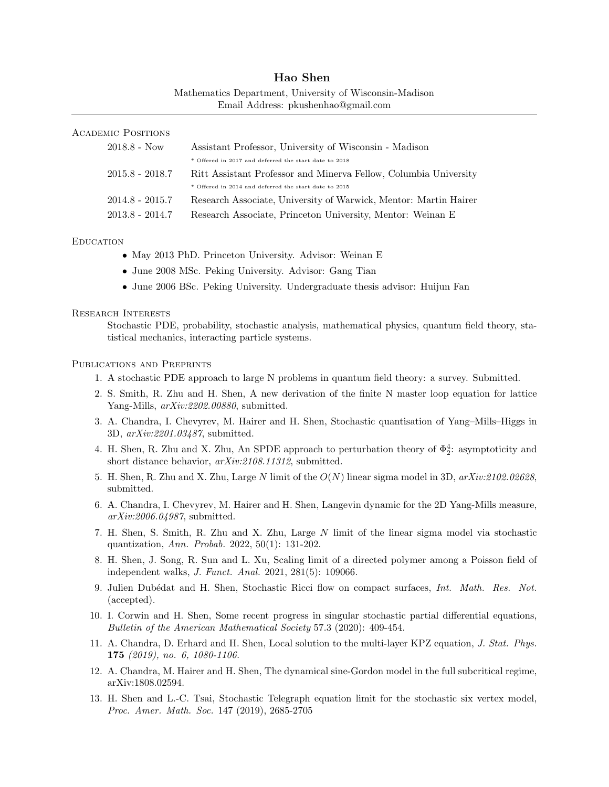| Hao Shen                                                |
|---------------------------------------------------------|
| Mathematics Department, University of Wisconsin-Madison |
| Email Address: pkushenhao@gmail.com                     |

# Academic Positions

| $2018.8 - Now$    | Assistant Professor, University of Wisconsin - Madison           |
|-------------------|------------------------------------------------------------------|
|                   | * Offered in 2017 and deferred the start date to 2018            |
| $2015.8 - 2018.7$ | Ritt Assistant Professor and Minerva Fellow, Columbia University |
|                   | * Offered in 2014 and deferred the start date to 2015            |
| $2014.8 - 2015.7$ | Research Associate, University of Warwick, Mentor: Martin Hairer |
| $2013.8 - 2014.7$ | Research Associate, Princeton University, Mentor: Weinan E       |

#### **EDUCATION**

- May 2013 PhD. Princeton University. Advisor: Weinan E
- June 2008 MSc. Peking University. Advisor: Gang Tian
- June 2006 BSc. Peking University. Undergraduate thesis advisor: Huijun Fan

#### Research Interests

Stochastic PDE, probability, stochastic analysis, mathematical physics, quantum field theory, statistical mechanics, interacting particle systems.

#### Publications and Preprints

- 1. A stochastic PDE approach to large N problems in quantum field theory: a survey. Submitted.
- 2. S. Smith, R. Zhu and H. Shen, A new derivation of the finite N master loop equation for lattice Yang-Mills,  $arXiv:2202.00880$ , submitted.
- 3. A. Chandra, I. Chevyrev, M. Hairer and H. Shen, Stochastic quantisation of Yang–Mills–Higgs in 3D, arXiv:2201.03487, submitted.
- 4. H. Shen, R. Zhu and X. Zhu, An SPDE approach to perturbation theory of  $\Phi_2^4$ : asymptoticity and short distance behavior,  $arXiv:2108.11312$ , submitted.
- 5. H. Shen, R. Zhu and X. Zhu, Large N limit of the  $O(N)$  linear sigma model in 3D,  $arXiv:2102.02628$ . submitted.
- 6. A. Chandra, I. Chevyrev, M. Hairer and H. Shen, Langevin dynamic for the 2D Yang-Mills measure, arXiv:2006.04987, submitted.
- 7. H. Shen, S. Smith, R. Zhu and X. Zhu, Large N limit of the linear sigma model via stochastic quantization, Ann. Probab. 2022, 50(1): 131-202.
- 8. H. Shen, J. Song, R. Sun and L. Xu, Scaling limit of a directed polymer among a Poisson field of independent walks, J. Funct. Anal. 2021, 281(5): 109066.
- 9. Julien Dubédat and H. Shen, Stochastic Ricci flow on compact surfaces, Int. Math. Res. Not. (accepted).
- 10. I. Corwin and H. Shen, Some recent progress in singular stochastic partial differential equations, Bulletin of the American Mathematical Society 57.3 (2020): 409-454.
- 11. A. Chandra, D. Erhard and H. Shen, Local solution to the multi-layer KPZ equation, J. Stat. Phys. 175 (2019), no. 6, 1080-1106.
- 12. A. Chandra, M. Hairer and H. Shen, The dynamical sine-Gordon model in the full subcritical regime, arXiv:1808.02594.
- 13. H. Shen and L.-C. Tsai, Stochastic Telegraph equation limit for the stochastic six vertex model, Proc. Amer. Math. Soc. 147 (2019), 2685-2705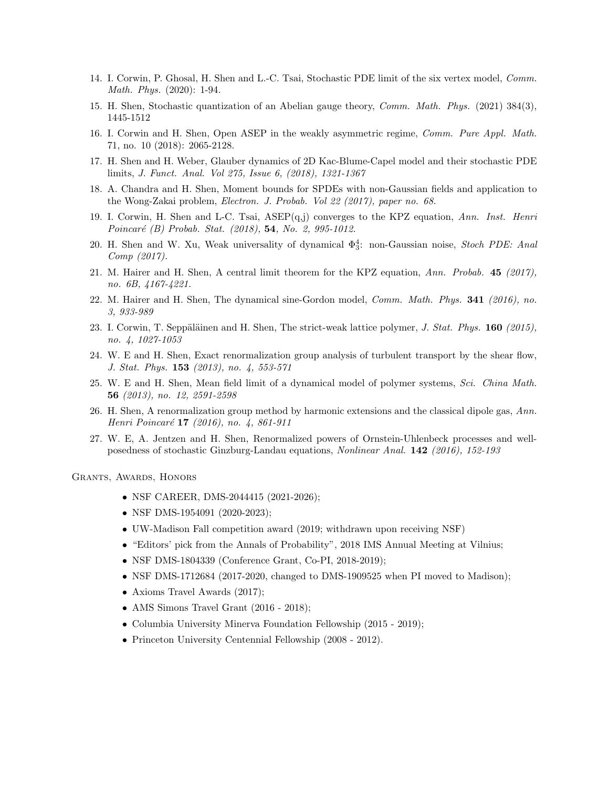- 14. I. Corwin, P. Ghosal, H. Shen and L.-C. Tsai, Stochastic PDE limit of the six vertex model, Comm. Math. Phys. (2020): 1-94.
- 15. H. Shen, Stochastic quantization of an Abelian gauge theory, Comm. Math. Phys. (2021) 384(3), 1445-1512
- 16. I. Corwin and H. Shen, Open ASEP in the weakly asymmetric regime, Comm. Pure Appl. Math. 71, no. 10 (2018): 2065-2128.
- 17. H. Shen and H. Weber, Glauber dynamics of 2D Kac-Blume-Capel model and their stochastic PDE limits, J. Funct. Anal. Vol 275, Issue 6, (2018), 1321-1367
- 18. A. Chandra and H. Shen, Moment bounds for SPDEs with non-Gaussian fields and application to the Wong-Zakai problem, Electron. J. Probab. Vol 22 (2017), paper no. 68.
- 19. I. Corwin, H. Shen and L-C. Tsai,  $ASEP(q,j)$  converges to the KPZ equation, Ann. Inst. Henri Poincaré (B) Probab. Stat. (2018), 54, No. 2, 995-1012.
- 20. H. Shen and W. Xu, Weak universality of dynamical  $\Phi_3^4$ : non-Gaussian noise, Stoch PDE: Anal Comp (2017).
- 21. M. Hairer and H. Shen, A central limit theorem for the KPZ equation, Ann. Probab. 45 (2017), no. 6B, 4167-4221.
- 22. M. Hairer and H. Shen, The dynamical sine-Gordon model, Comm. Math. Phys. 341 (2016), no. 3, 933-989
- 23. I. Corwin, T. Seppäläinen and H. Shen, The strict-weak lattice polymer, J. Stat. Phys.  $160$  (2015), no. 4, 1027-1053
- 24. W. E and H. Shen, Exact renormalization group analysis of turbulent transport by the shear flow, J. Stat. Phys. 153 (2013), no. 4, 553-571
- 25. W. E and H. Shen, Mean field limit of a dynamical model of polymer systems, Sci. China Math. 56 (2013), no. 12, 2591-2598
- 26. H. Shen, A renormalization group method by harmonic extensions and the classical dipole gas, Ann. Henri Poincaré 17 (2016), no. 4, 861-911
- 27. W. E, A. Jentzen and H. Shen, Renormalized powers of Ornstein-Uhlenbeck processes and wellposedness of stochastic Ginzburg-Landau equations, Nonlinear Anal. 142 (2016), 152-193

Grants, Awards, Honors

- NSF CAREER, DMS-2044415 (2021-2026);
- NSF DMS-1954091 (2020-2023);
- UW-Madison Fall competition award (2019; withdrawn upon receiving NSF)
- "Editors' pick from the Annals of Probability", 2018 IMS Annual Meeting at Vilnius;
- NSF DMS-1804339 (Conference Grant, Co-PI, 2018-2019);
- NSF DMS-1712684 (2017-2020, changed to DMS-1909525 when PI moved to Madison);
- Axioms Travel Awards (2017);
- AMS Simons Travel Grant (2016 2018);
- Columbia University Minerva Foundation Fellowship (2015 2019);
- Princeton University Centennial Fellowship (2008 2012).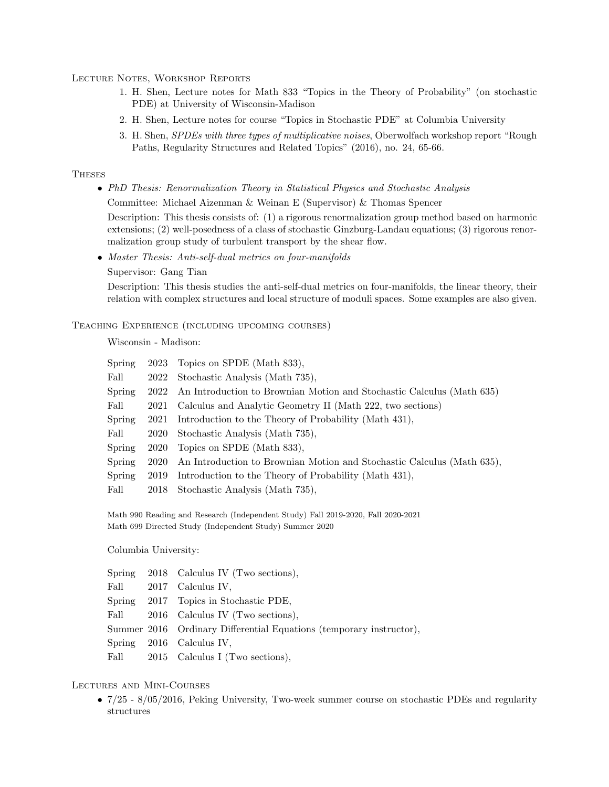Lecture Notes, Workshop Reports

- 1. H. Shen, Lecture notes for Math 833 "Topics in the Theory of Probability" (on stochastic PDE) at University of Wisconsin-Madison
- 2. H. Shen, Lecture notes for course "Topics in Stochastic PDE" at Columbia University
- 3. H. Shen, SPDEs with three types of multiplicative noises, Oberwolfach workshop report "Rough Paths, Regularity Structures and Related Topics" (2016), no. 24, 65-66.

# **THESES**

• PhD Thesis: Renormalization Theory in Statistical Physics and Stochastic Analysis

Committee: Michael Aizenman & Weinan E (Supervisor) & Thomas Spencer

Description: This thesis consists of: (1) a rigorous renormalization group method based on harmonic extensions; (2) well-posedness of a class of stochastic Ginzburg-Landau equations; (3) rigorous renormalization group study of turbulent transport by the shear flow.

• Master Thesis: Anti-self-dual metrics on four-manifolds

Supervisor: Gang Tian

Description: This thesis studies the anti-self-dual metrics on four-manifolds, the linear theory, their relation with complex structures and local structure of moduli spaces. Some examples are also given.

Teaching Experience (including upcoming courses)

Wisconsin - Madison:

| Spring |      | 2023 Topics on SPDE (Math 833),                                        |
|--------|------|------------------------------------------------------------------------|
| Fall   | 2022 | Stochastic Analysis (Math 735),                                        |
| Spring | 2022 | An Introduction to Brownian Motion and Stochastic Calculus (Math 635)  |
| Fall   | 2021 | Calculus and Analytic Geometry II (Math 222, two sections)             |
| Spring | 2021 | Introduction to the Theory of Probability (Math 431),                  |
| Fall   | 2020 | Stochastic Analysis (Math 735),                                        |
| Spring | 2020 | Topics on SPDE (Math 833),                                             |
| Spring | 2020 | An Introduction to Brownian Motion and Stochastic Calculus (Math 635), |
| Spring | 2019 | Introduction to the Theory of Probability (Math 431),                  |
| Fall   |      | 2018 Stochastic Analysis (Math 735),                                   |

Math 990 Reading and Research (Independent Study) Fall 2019-2020, Fall 2020-2021 Math 699 Directed Study (Independent Study) Summer 2020

Columbia University:

|  | Spring 2018 Calculus IV (Two sections),                             |
|--|---------------------------------------------------------------------|
|  | Fall 2017 Calculus IV,                                              |
|  | Spring 2017 Topics in Stochastic PDE,                               |
|  | Fall 2016 Calculus IV (Two sections),                               |
|  | Summer 2016 Ordinary Differential Equations (temporary instructor), |
|  | $Spring \quad 2016 \quad Calculus IV.$                              |
|  | Fall 2015 Calculus I (Two sections),                                |

# Lectures and Mini-Courses

• 7/25 - 8/05/2016, Peking University, Two-week summer course on stochastic PDEs and regularity structures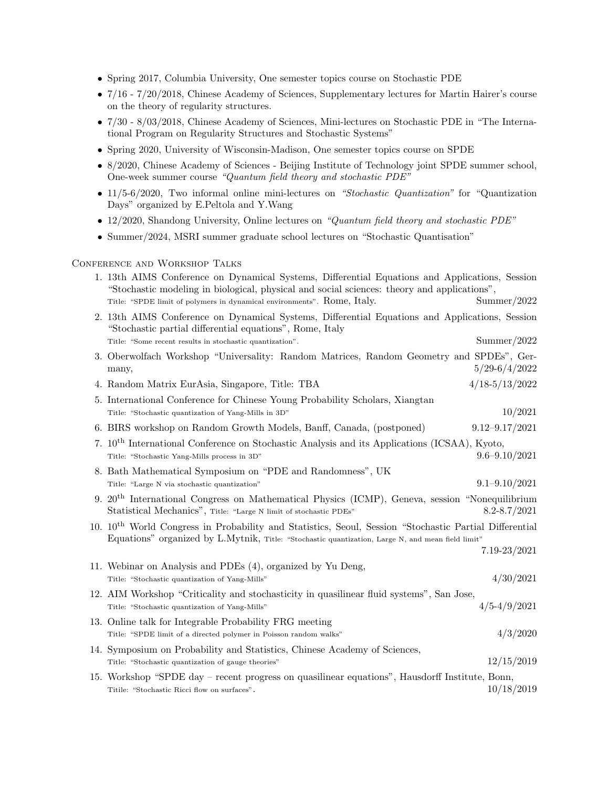- Spring 2017, Columbia University, One semester topics course on Stochastic PDE
- 7/16 7/20/2018, Chinese Academy of Sciences, Supplementary lectures for Martin Hairer's course on the theory of regularity structures.
- 7/30 8/03/2018, Chinese Academy of Sciences, Mini-lectures on Stochastic PDE in "The International Program on Regularity Structures and Stochastic Systems"
- Spring 2020, University of Wisconsin-Madison, One semester topics course on SPDE
- 8/2020, Chinese Academy of Sciences Beijing Institute of Technology joint SPDE summer school, One-week summer course "Quantum field theory and stochastic PDE"
- 11/5-6/2020, Two informal online mini-lectures on "Stochastic Quantization" for "Quantization" Days" organized by E.Peltola and Y.Wang
- 12/2020, Shandong University, Online lectures on "Quantum field theory and stochastic PDE"
- Summer/2024, MSRI summer graduate school lectures on "Stochastic Quantisation"

# Conference and Workshop Talks

| 1. 13th AIMS Conference on Dynamical Systems, Differential Equations and Applications, Session<br>"Stochastic modeling in biological, physical and social sciences: theory and applications",                           |
|-------------------------------------------------------------------------------------------------------------------------------------------------------------------------------------------------------------------------|
| Summer/2022<br>Title: "SPDE limit of polymers in dynamical environments". Rome, Italy.                                                                                                                                  |
| 2. 13th AIMS Conference on Dynamical Systems, Differential Equations and Applications, Session<br>"Stochastic partial differential equations", Rome, Italy                                                              |
| Summer/2022<br>Title: "Some recent results in stochastic quantization".                                                                                                                                                 |
| 3. Oberwolfach Workshop "Universality: Random Matrices, Random Geometry and SPDEs", Ger-<br>$5/29 - 6/4/2022$<br>many,                                                                                                  |
| $4/18 - 5/13/2022$<br>4. Random Matrix EurAsia, Singapore, Title: TBA                                                                                                                                                   |
| 5. International Conference for Chinese Young Probability Scholars, Xiangtan                                                                                                                                            |
| 10/2021<br>Title: "Stochastic quantization of Yang-Mills in 3D"                                                                                                                                                         |
| $9.12 - 9.17 / 2021$<br>6. BIRS workshop on Random Growth Models, Banff, Canada, (postponed)                                                                                                                            |
| 7. 10 <sup>th</sup> International Conference on Stochastic Analysis and its Applications (ICSAA), Kyoto,<br>$9.6 - 9.10 / 2021$<br>Title: "Stochastic Yang-Mills process in 3D"                                         |
| 8. Bath Mathematical Symposium on "PDE and Randomness", UK                                                                                                                                                              |
| $9.1 - 9.10 / 2021$<br>Title: "Large N via stochastic quantization"                                                                                                                                                     |
| 9. $20th$ International Congress on Mathematical Physics (ICMP), Geneva, session "Nonequilibrium<br>Statistical Mechanics", Title: "Large N limit of stochastic PDEs"<br>$8.2 - 8.7 / 2021$                             |
| 10. 10 <sup>th</sup> World Congress in Probability and Statistics, Seoul, Session "Stochastic Partial Differential<br>Equations" organized by L.Mytnik, Title: "Stochastic quantization, Large N, and mean field limit" |
| $7.19 - 23/2021$                                                                                                                                                                                                        |
| 11. Webinar on Analysis and PDEs (4), organized by Yu Deng,<br>4/30/2021<br>Title: "Stochastic quantization of Yang-Mills"                                                                                              |
| 12. AIM Workshop "Criticality and stochasticity in quasilinear fluid systems", San Jose,<br>$4/5 - 4/9/2021$<br>Title: "Stochastic quantization of Yang-Mills"                                                          |
| 13. Online talk for Integrable Probability FRG meeting                                                                                                                                                                  |
| 4/3/2020<br>Title: "SPDE limit of a directed polymer in Poisson random walks"                                                                                                                                           |
| 14. Symposium on Probability and Statistics, Chinese Academy of Sciences,                                                                                                                                               |
| 12/15/2019<br>Title: "Stochastic quantization of gauge theories"                                                                                                                                                        |
| 15. Workshop "SPDE day – recent progress on quasilinear equations", Hausdorff Institute, Bonn,<br>10/18/2019<br>Titile: "Stochastic Ricci flow on surfaces".                                                            |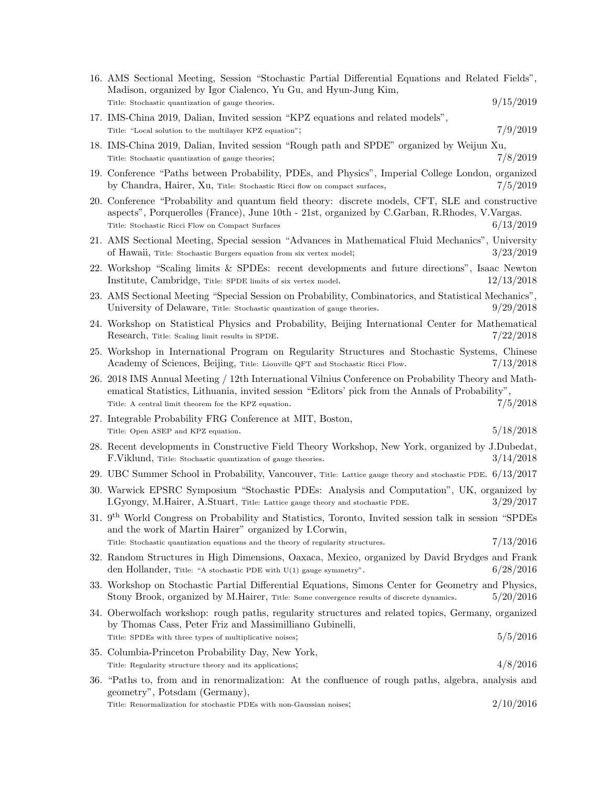| 16. AMS Sectional Meeting, Session "Stochastic Partial Differential Equations and Related Fields",<br>Madison, organized by Igor Cialenco, Yu Gu, and Hyun-Jung Kim,                                                                                           |            |
|----------------------------------------------------------------------------------------------------------------------------------------------------------------------------------------------------------------------------------------------------------------|------------|
| Title: Stochastic quantization of gauge theories.                                                                                                                                                                                                              | 9/15/2019  |
| 17. IMS-China 2019, Dalian, Invited session "KPZ equations and related models",<br>Title: "Local solution to the multilayer KPZ equation";                                                                                                                     | 7/9/2019   |
| 18. IMS-China 2019, Dalian, Invited session "Rough path and SPDE" organized by Weijun Xu,<br>Title: Stochastic quantization of gauge theories;                                                                                                                 | 7/8/2019   |
| 19. Conference "Paths between Probability, PDEs, and Physics", Imperial College London, organized<br>by Chandra, Hairer, Xu, Title: Stochastic Ricci flow on compact surfaces,                                                                                 | 7/5/2019   |
| 20. Conference "Probability and quantum field theory: discrete models, CFT, SLE and constructive<br>aspects", Porquerolles (France), June 10th - 21st, organized by C.Garban, R.Rhodes, V.Vargas.<br>Title: Stochastic Ricci Flow on Compact Surfaces          | 6/13/2019  |
| 21. AMS Sectional Meeting, Special session "Advances in Mathematical Fluid Mechanics", University<br>of Hawaii, Title: Stochastic Burgers equation from six vertex model;                                                                                      | 3/23/2019  |
| 22. Workshop "Scaling limits & SPDEs: recent developments and future directions", Isaac Newton<br>Institute, Cambridge, Title: SPDE limits of six vertex model.                                                                                                | 12/13/2018 |
| 23. AMS Sectional Meeting "Special Session on Probability, Combinatorics, and Statistical Mechanics",<br>University of Delaware, Title: Stochastic quantization of gauge theories.                                                                             | 9/29/2018  |
| 24. Workshop on Statistical Physics and Probability, Beijing International Center for Mathematical<br>Research, Title: Scaling limit results in SPDE.                                                                                                          | 7/22/2018  |
| 25. Workshop in International Program on Regularity Structures and Stochastic Systems, Chinese<br>Academy of Sciences, Beijing, Title: Liouville QFT and Stochastic Ricci Flow.                                                                                | 7/13/2018  |
| 26. 2018 IMS Annual Meeting / 12th International Vilnius Conference on Probability Theory and Math-<br>ematical Statistics, Lithuania, invited session "Editors' pick from the Annals of Probability",<br>Title: A central limit theorem for the KPZ equation. | 7/5/2018   |
| 27. Integrable Probability FRG Conference at MIT, Boston,                                                                                                                                                                                                      |            |
| Title: Open ASEP and KPZ equation.                                                                                                                                                                                                                             | 5/18/2018  |
| 28. Recent developments in Constructive Field Theory Workshop, New York, organized by J.Dubedat,<br>F.Viklund, Title: Stochastic quantization of gauge theories.                                                                                               | 3/14/2018  |
| 29. UBC Summer School in Probability, Vancouver, Title: Lattice gauge theory and stochastic PDE. 6/13/2017                                                                                                                                                     |            |
| 30. Warwick EPSRC Symposium "Stochastic PDEs: Analysis and Computation", UK, organized by<br>I.Gyongy, M.Hairer, A.Stuart, Title: Lattice gauge theory and stochastic PDE.                                                                                     | 3/29/2017  |
| 31. 9 <sup>th</sup> World Congress on Probability and Statistics, Toronto, Invited session talk in session "SPDEs<br>and the work of Martin Hairer" organized by I.Corwin,                                                                                     |            |
| Title: Stochastic quantization equations and the theory of regularity structures.                                                                                                                                                                              | 7/13/2016  |
| 32. Random Structures in High Dimensions, Oaxaca, Mexico, organized by David Brydges and Frank<br>den Hollander, Title: "A stochastic PDE with $U(1)$ gauge symmetry".                                                                                         | 6/28/2016  |
| 33. Workshop on Stochastic Partial Differential Equations, Simons Center for Geometry and Physics,<br>Stony Brook, organized by M.Hairer, Title: Some convergence results of discrete dynamics.                                                                | 5/20/2016  |
| 34. Oberwolfach workshop: rough paths, regularity structures and related topics, Germany, organized<br>by Thomas Cass, Peter Friz and Massimilliano Gubinelli,                                                                                                 |            |
| Title: SPDEs with three types of multiplicative noises;                                                                                                                                                                                                        | 5/5/2016   |
| 35. Columbia-Princeton Probability Day, New York,<br>Title: Regularity structure theory and its applications;                                                                                                                                                  | 4/8/2016   |
| 36. "Paths to, from and in renormalization: At the confluence of rough paths, algebra, analysis and                                                                                                                                                            |            |
| geometry", Potsdam (Germany),<br>Title: Renormalization for stochastic PDEs with non-Gaussian noises;                                                                                                                                                          | 2/10/2016  |
|                                                                                                                                                                                                                                                                |            |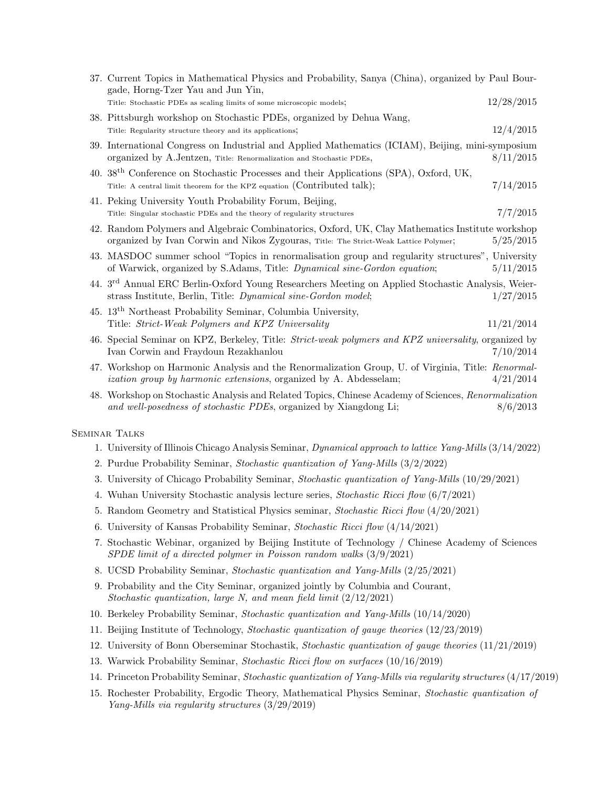| 37. Current Topics in Mathematical Physics and Probability, Sanya (China), organized by Paul Bour-<br>gade, Horng-Tzer Yau and Jun Yin,                                                  |            |
|------------------------------------------------------------------------------------------------------------------------------------------------------------------------------------------|------------|
| Title: Stochastic PDEs as scaling limits of some microscopic models;                                                                                                                     | 12/28/2015 |
| 38. Pittsburgh workshop on Stochastic PDEs, organized by Dehua Wang,<br>Title: Regularity structure theory and its applications;                                                         | 12/4/2015  |
| 39. International Congress on Industrial and Applied Mathematics (ICIAM), Beijing, mini-symposium<br>organized by A.Jentzen, Title: Renormalization and Stochastic PDEs,                 | 8/11/2015  |
| 40. 38 <sup>th</sup> Conference on Stochastic Processes and their Applications (SPA), Oxford, UK,<br>Title: A central limit theorem for the KPZ equation (Contributed talk);             | 7/14/2015  |
| 41. Peking University Youth Probability Forum, Beijing,<br>Title: Singular stochastic PDEs and the theory of regularity structures                                                       | 7/7/2015   |
| 42. Random Polymers and Algebraic Combinatorics, Oxford, UK, Clay Mathematics Institute workshop<br>organized by Ivan Corwin and Nikos Zygouras, Title: The Strict-Weak Lattice Polymer; | 5/25/2015  |
| 43. MASDOC summer school "Topics in renormalisation group and regularity structures", University<br>of Warwick, organized by S.Adams, Title: <i>Dynamical sine-Gordon equation</i> ;     | 5/11/2015  |
| 44. 3 <sup>rd</sup> Annual ERC Berlin-Oxford Young Researchers Meeting on Applied Stochastic Analysis, Weier-<br>strass Institute, Berlin, Title: Dynamical sine-Gordon model;           | 1/27/2015  |
| 45. 13 <sup>th</sup> Northeast Probability Seminar, Columbia University,<br>Title: Strict-Weak Polymers and KPZ Universality                                                             | 11/21/2014 |
| 46. Special Seminar on KPZ, Berkeley, Title: Strict-weak polymers and KPZ universality, organized by<br>Ivan Corwin and Fraydoun Rezakhanlou                                             | 7/10/2014  |
| 47. Workshop on Harmonic Analysis and the Renormalization Group, U. of Virginia, Title: Renormal-<br><i>ization group by harmonic extensions</i> , organized by A. Abdesselam;           | 4/21/2014  |
| 48. Workshop on Stochastic Analysis and Related Topics, Chinese Academy of Sciences, Renormalization<br>and well-posedness of stochastic PDEs, organized by Xiangdong Li;                | 8/6/2013   |
| <b>SEMINAR TALKS</b>                                                                                                                                                                     |            |
| 1. University of Illinois Chicago Analysis Seminar, Dynamical approach to lattice Yang-Mills (3/14/2022)                                                                                 |            |
| 2. Purdue Probability Seminar, Stochastic quantization of Yang-Mills (3/2/2022)                                                                                                          |            |
| 3. University of Chicago Probability Seminar, Stochastic quantization of Yang-Mills (10/29/2021)                                                                                         |            |
| 4. Wuhan University Stochastic analysis lecture series, Stochastic Ricci flow $(6/7/2021)$                                                                                               |            |
| 5. Random Geometry and Statistical Physics seminar, Stochastic Ricci flow (4/20/2021)                                                                                                    |            |
| 6. University of Kansas Probability Seminar, Stochastic Ricci flow (4/14/2021)                                                                                                           |            |

- 7. Stochastic Webinar, organized by Beijing Institute of Technology / Chinese Academy of Sciences SPDE limit of a directed polymer in Poisson random walks (3/9/2021)
- 8. UCSD Probability Seminar, Stochastic quantization and Yang-Mills (2/25/2021)
- 9. Probability and the City Seminar, organized jointly by Columbia and Courant, Stochastic quantization, large N, and mean field limit  $\left(\frac{2}{12}\right)2021$
- 10. Berkeley Probability Seminar, Stochastic quantization and Yang-Mills (10/14/2020)
- 11. Beijing Institute of Technology, Stochastic quantization of gauge theories (12/23/2019)
- 12. University of Bonn Oberseminar Stochastik, Stochastic quantization of gauge theories (11/21/2019)
- 13. Warwick Probability Seminar, Stochastic Ricci flow on surfaces (10/16/2019)
- 14. Princeton Probability Seminar, Stochastic quantization of Yang-Mills via regularity structures (4/17/2019)
- 15. Rochester Probability, Ergodic Theory, Mathematical Physics Seminar, Stochastic quantization of Yang-Mills via regularity structures (3/29/2019)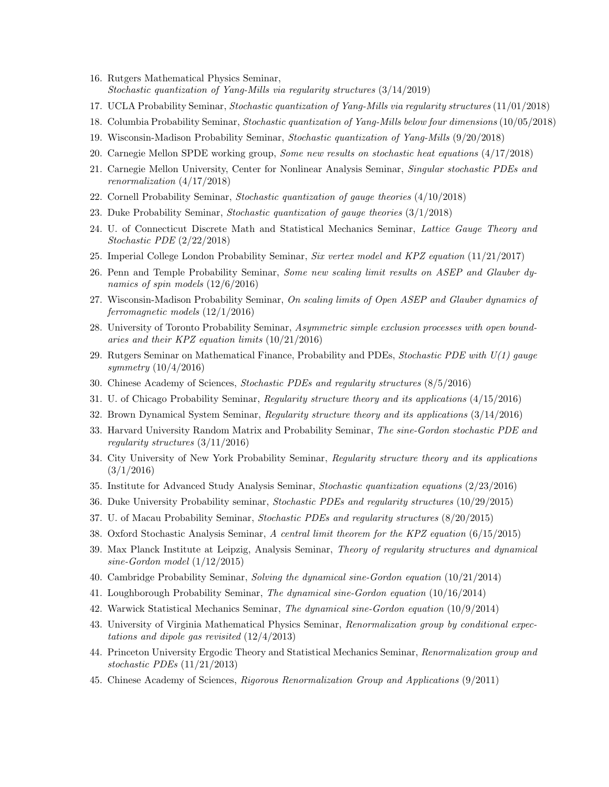- 16. Rutgers Mathematical Physics Seminar, Stochastic quantization of Yang-Mills via regularity structures (3/14/2019)
- 17. UCLA Probability Seminar, Stochastic quantization of Yang-Mills via regularity structures (11/01/2018)
- 18. Columbia Probability Seminar, Stochastic quantization of Yang-Mills below four dimensions (10/05/2018)
- 19. Wisconsin-Madison Probability Seminar, Stochastic quantization of Yang-Mills (9/20/2018)
- 20. Carnegie Mellon SPDE working group, Some new results on stochastic heat equations (4/17/2018)
- 21. Carnegie Mellon University, Center for Nonlinear Analysis Seminar, Singular stochastic PDEs and renormalization (4/17/2018)
- 22. Cornell Probability Seminar, Stochastic quantization of gauge theories (4/10/2018)
- 23. Duke Probability Seminar, Stochastic quantization of gauge theories (3/1/2018)
- 24. U. of Connecticut Discrete Math and Statistical Mechanics Seminar, Lattice Gauge Theory and Stochastic PDE (2/22/2018)
- 25. Imperial College London Probability Seminar, Six vertex model and KPZ equation (11/21/2017)
- 26. Penn and Temple Probability Seminar, Some new scaling limit results on ASEP and Glauber dynamics of spin models (12/6/2016)
- 27. Wisconsin-Madison Probability Seminar, On scaling limits of Open ASEP and Glauber dynamics of ferromagnetic models (12/1/2016)
- 28. University of Toronto Probability Seminar, Asymmetric simple exclusion processes with open boundaries and their KPZ equation limits (10/21/2016)
- 29. Rutgers Seminar on Mathematical Finance, Probability and PDEs, Stochastic PDE with  $U(1)$  gauge symmetry (10/4/2016)
- 30. Chinese Academy of Sciences, Stochastic PDEs and regularity structures (8/5/2016)
- 31. U. of Chicago Probability Seminar, Regularity structure theory and its applications (4/15/2016)
- 32. Brown Dynamical System Seminar, Regularity structure theory and its applications (3/14/2016)
- 33. Harvard University Random Matrix and Probability Seminar, The sine-Gordon stochastic PDE and regularity structures (3/11/2016)
- 34. City University of New York Probability Seminar, Regularity structure theory and its applications  $(3/1/2016)$
- 35. Institute for Advanced Study Analysis Seminar, Stochastic quantization equations (2/23/2016)
- 36. Duke University Probability seminar, Stochastic PDEs and regularity structures (10/29/2015)
- 37. U. of Macau Probability Seminar, Stochastic PDEs and regularity structures (8/20/2015)
- 38. Oxford Stochastic Analysis Seminar, A central limit theorem for the KPZ equation (6/15/2015)
- 39. Max Planck Institute at Leipzig, Analysis Seminar, Theory of regularity structures and dynamical sine-Gordon model (1/12/2015)
- 40. Cambridge Probability Seminar, Solving the dynamical sine-Gordon equation (10/21/2014)
- 41. Loughborough Probability Seminar, The dynamical sine-Gordon equation (10/16/2014)
- 42. Warwick Statistical Mechanics Seminar, The dynamical sine-Gordon equation (10/9/2014)
- 43. University of Virginia Mathematical Physics Seminar, Renormalization group by conditional expectations and dipole gas revisited  $(12/4/2013)$
- 44. Princeton University Ergodic Theory and Statistical Mechanics Seminar, Renormalization group and stochastic PDEs (11/21/2013)
- 45. Chinese Academy of Sciences, Rigorous Renormalization Group and Applications (9/2011)